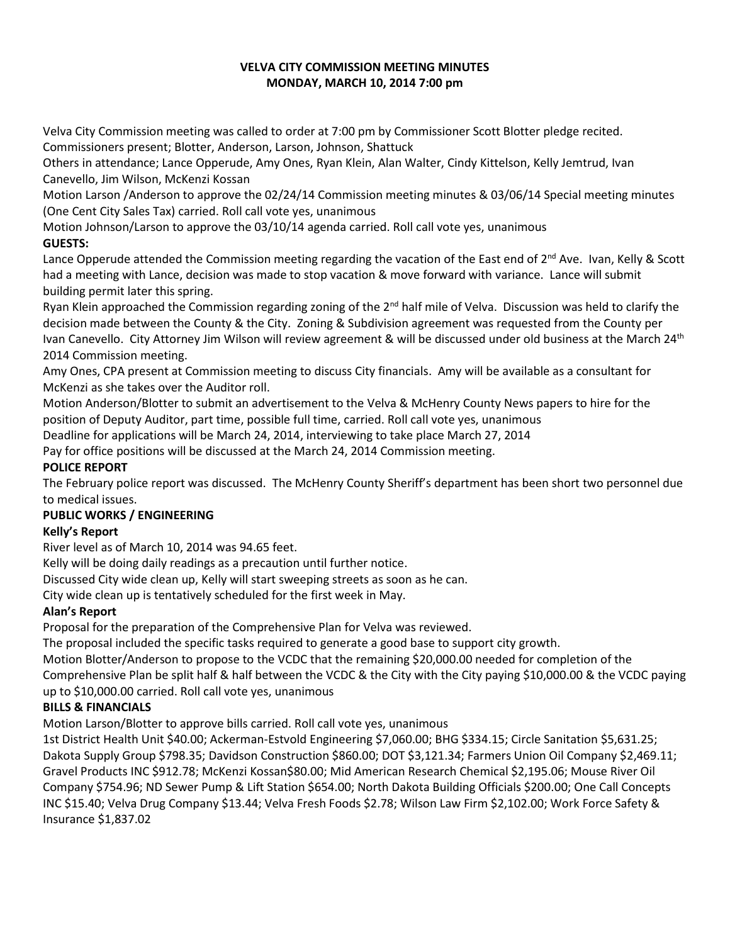### **VELVA CITY COMMISSION MEETING MINUTES MONDAY, MARCH 10, 2014 7:00 pm**

Velva City Commission meeting was called to order at 7:00 pm by Commissioner Scott Blotter pledge recited. Commissioners present; Blotter, Anderson, Larson, Johnson, Shattuck

Others in attendance; Lance Opperude, Amy Ones, Ryan Klein, Alan Walter, Cindy Kittelson, Kelly Jemtrud, Ivan Canevello, Jim Wilson, McKenzi Kossan

Motion Larson /Anderson to approve the 02/24/14 Commission meeting minutes & 03/06/14 Special meeting minutes (One Cent City Sales Tax) carried. Roll call vote yes, unanimous

Motion Johnson/Larson to approve the 03/10/14 agenda carried. Roll call vote yes, unanimous

## **GUESTS:**

Lance Opperude attended the Commission meeting regarding the vacation of the East end of  $2^{nd}$  Ave. Ivan, Kelly & Scott had a meeting with Lance, decision was made to stop vacation & move forward with variance. Lance will submit building permit later this spring.

Ryan Klein approached the Commission regarding zoning of the  $2^{nd}$  half mile of Velva. Discussion was held to clarify the decision made between the County & the City. Zoning & Subdivision agreement was requested from the County per Ivan Canevello. City Attorney Jim Wilson will review agreement & will be discussed under old business at the March 24<sup>th</sup> 2014 Commission meeting.

Amy Ones, CPA present at Commission meeting to discuss City financials. Amy will be available as a consultant for McKenzi as she takes over the Auditor roll.

Motion Anderson/Blotter to submit an advertisement to the Velva & McHenry County News papers to hire for the position of Deputy Auditor, part time, possible full time, carried. Roll call vote yes, unanimous

Deadline for applications will be March 24, 2014, interviewing to take place March 27, 2014

Pay for office positions will be discussed at the March 24, 2014 Commission meeting.

## **POLICE REPORT**

The February police report was discussed. The McHenry County Sheriff's department has been short two personnel due to medical issues.

# **PUBLIC WORKS / ENGINEERING**

### **Kelly's Report**

River level as of March 10, 2014 was 94.65 feet.

Kelly will be doing daily readings as a precaution until further notice.

Discussed City wide clean up, Kelly will start sweeping streets as soon as he can.

City wide clean up is tentatively scheduled for the first week in May.

# **Alan's Report**

Proposal for the preparation of the Comprehensive Plan for Velva was reviewed.

The proposal included the specific tasks required to generate a good base to support city growth.

Motion Blotter/Anderson to propose to the VCDC that the remaining \$20,000.00 needed for completion of the

Comprehensive Plan be split half & half between the VCDC & the City with the City paying \$10,000.00 & the VCDC paying up to \$10,000.00 carried. Roll call vote yes, unanimous

# **BILLS & FINANCIALS**

Motion Larson/Blotter to approve bills carried. Roll call vote yes, unanimous

1st District Health Unit \$40.00; Ackerman-Estvold Engineering \$7,060.00; BHG \$334.15; Circle Sanitation \$5,631.25; Dakota Supply Group \$798.35; Davidson Construction \$860.00; DOT \$3,121.34; Farmers Union Oil Company \$2,469.11; Gravel Products INC \$912.78; McKenzi Kossan\$80.00; Mid American Research Chemical \$2,195.06; Mouse River Oil Company \$754.96; ND Sewer Pump & Lift Station \$654.00; North Dakota Building Officials \$200.00; One Call Concepts INC \$15.40; Velva Drug Company \$13.44; Velva Fresh Foods \$2.78; Wilson Law Firm \$2,102.00; Work Force Safety & Insurance \$1,837.02